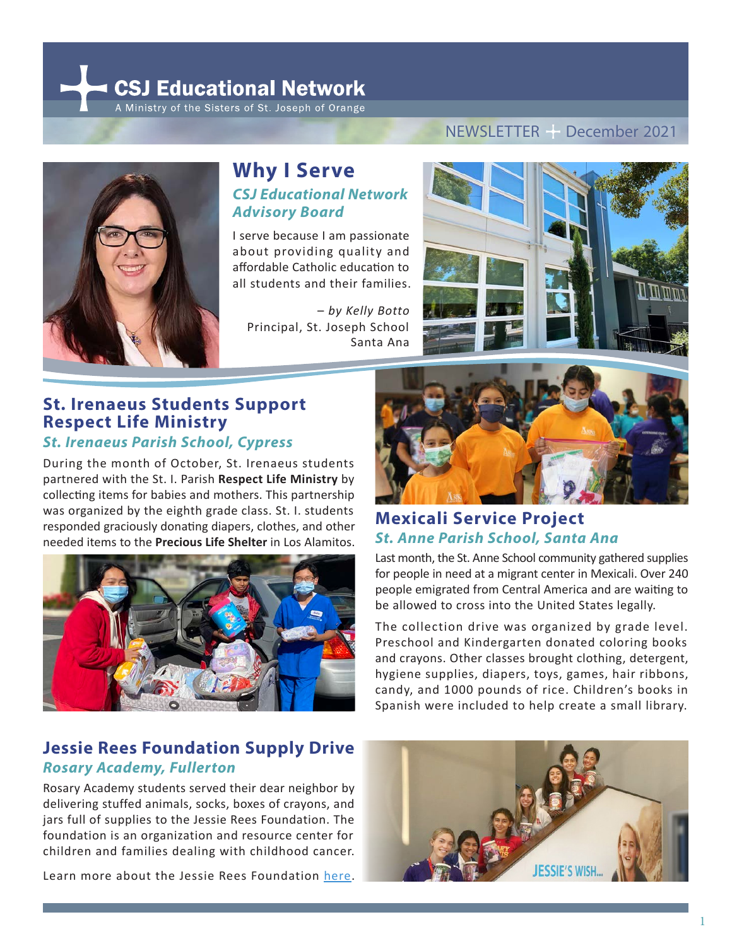**CSJ Educational Network** 

A Ministry of the Sisters of St. Joseph of Orange



### **Why I Serve** *CSJ Educational Network Advisory Board*

I serve because I am passionate about providing quality and affordable Catholic education to all students and their families.

 – *by Kelly Botto* Principal, St. Joseph School Santa Ana

#### NEWSLETTER PDecember 2021



### **St. Irenaeus Students Support Respect Life Ministry**  *St. Irenaeus Parish School, Cypress*

During the month of October, St. Irenaeus students partnered with the St. I. Parish **Respect Life Ministry** by collecting items for babies and mothers. This partnership was organized by the eighth grade class. St. I. students responded graciously donating diapers, clothes, and other needed items to the **Precious Life Shelter** in Los Alamitos.



# **Jessie Rees Foundation Supply Drive**  *Rosary Academy, Fullerton*

Rosary Academy students served their dear neighbor by delivering stuffed animals, socks, boxes of crayons, and jars full of supplies to the Jessie Rees Foundation. The foundation is an organization and resource center for children and families dealing with childhood cancer.

Learn more about the Jessie Rees Foundatio[n here.](https://negu.org/) 



# **Mexicali Service Project**  *St. Anne Parish School, Santa Ana*

Last month, the St. Anne School community gathered supplies for people in need at a migrant center in Mexicali. Over 240 people emigrated from Central America and are waiting to be allowed to cross into the United States legally.

The collection drive was organized by grade level. Preschool and Kindergarten donated coloring books and crayons. Other classes brought clothing, detergent, hygiene supplies, diapers, toys, games, hair ribbons, candy, and 1000 pounds of rice. Children's books in Spanish were included to help create a small library.